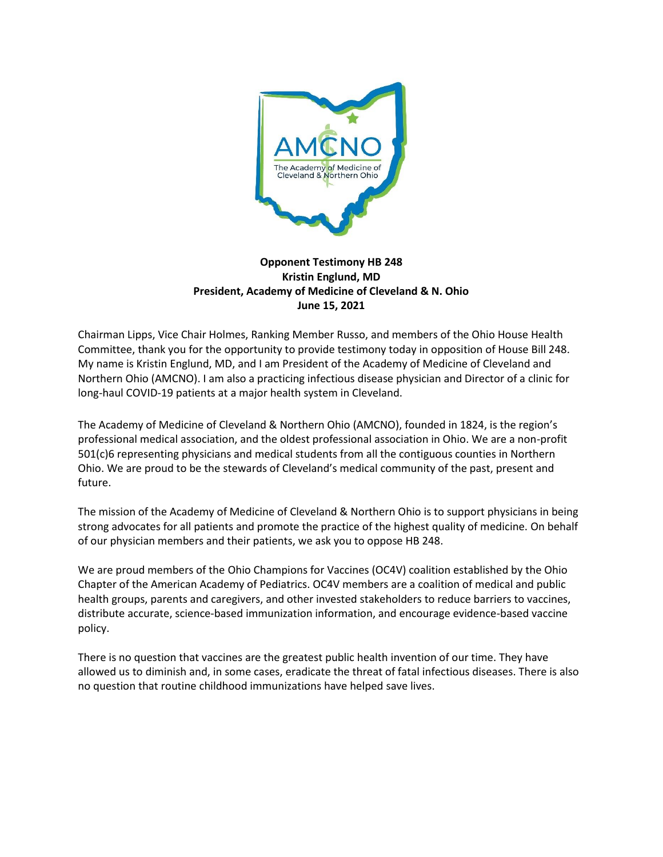

## **Opponent Testimony HB 248 Kristin Englund, MD President, Academy of Medicine of Cleveland & N. Ohio June 15, 2021**

Chairman Lipps, Vice Chair Holmes, Ranking Member Russo, and members of the Ohio House Health Committee, thank you for the opportunity to provide testimony today in opposition of House Bill 248. My name is Kristin Englund, MD, and I am President of the Academy of Medicine of Cleveland and Northern Ohio (AMCNO). I am also a practicing infectious disease physician and Director of a clinic for long-haul COVID-19 patients at a major health system in Cleveland.

The Academy of Medicine of Cleveland & Northern Ohio (AMCNO), founded in 1824, is the region's professional medical association, and the oldest professional association in Ohio. We are a non-profit 501(c)6 representing physicians and medical students from all the contiguous counties in Northern Ohio. We are proud to be the stewards of Cleveland's medical community of the past, present and future.

The mission of the Academy of Medicine of Cleveland & Northern Ohio is to support physicians in being strong advocates for all patients and promote the practice of the highest quality of medicine. On behalf of our physician members and their patients, we ask you to oppose HB 248.

We are proud members of the Ohio Champions for Vaccines (OC4V) coalition established by the Ohio Chapter of the American Academy of Pediatrics. OC4V members are a coalition of medical and public health groups, parents and caregivers, and other invested stakeholders to reduce barriers to vaccines, distribute accurate, science-based immunization information, and encourage evidence-based vaccine policy.

There is no question that vaccines are the greatest public health invention of our time. They have allowed us to diminish and, in some cases, eradicate the threat of fatal infectious diseases. There is also no question that routine childhood immunizations have helped save lives.